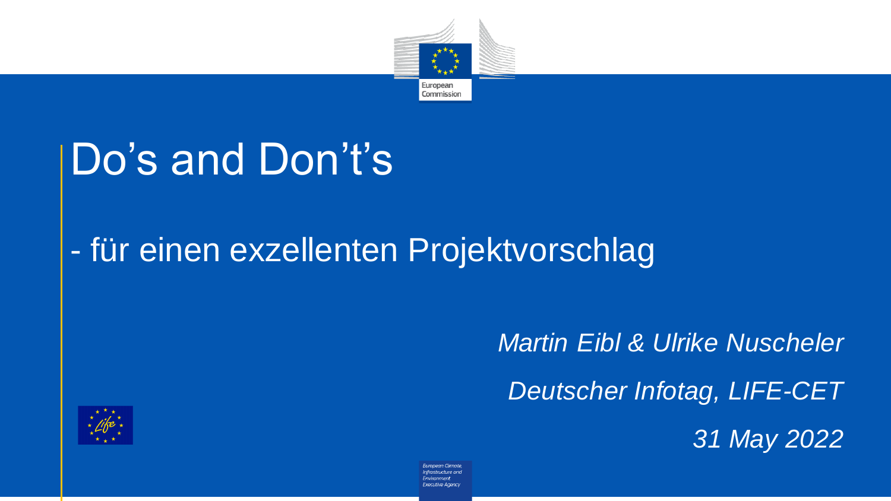

# Do's and Don't's

#### - für einen exzellenten Projektvorschlag

*Martin Eibl & Ulrike Nuscheler Deutscher Infotag, LIFE-CET 31 May 2022*



European Climate nfmstnich ire ani Exercitive Aneno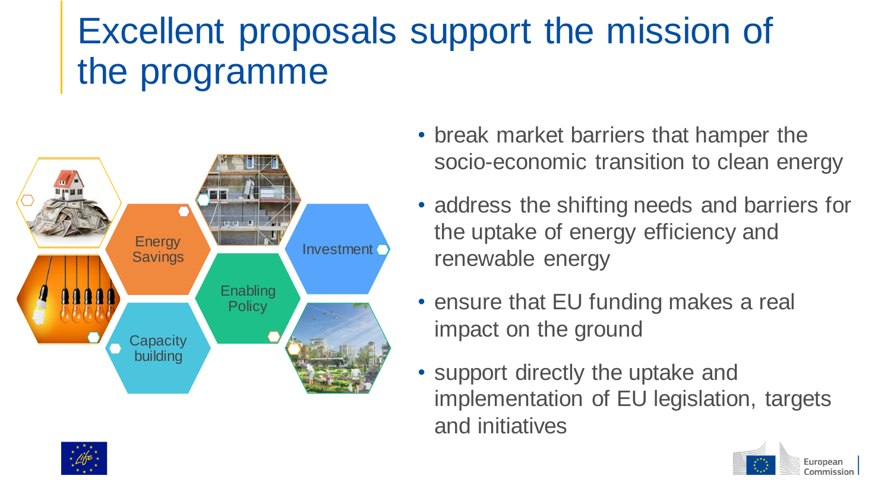# Excellent proposals support the mission of the programme



- break market barriers that hamper the socio-economic transition to clean energy
- address the shifting needs and barriers for the uptake of energy efficiency and renewable energy
- ensure that EU funding makes a real impact on the ground
- support directly the uptake and implementation of EU legislation, targets and initiatives

European Commission

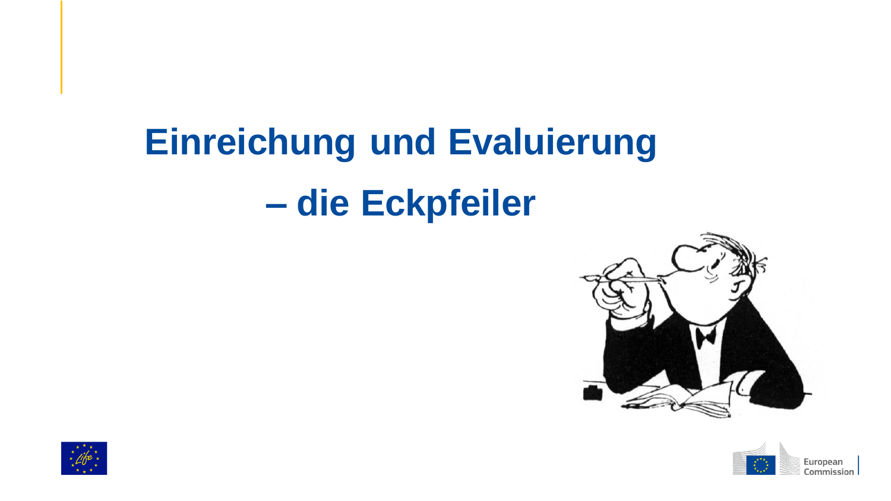# **Einreichung und Evaluierung – die Eckpfeiler**





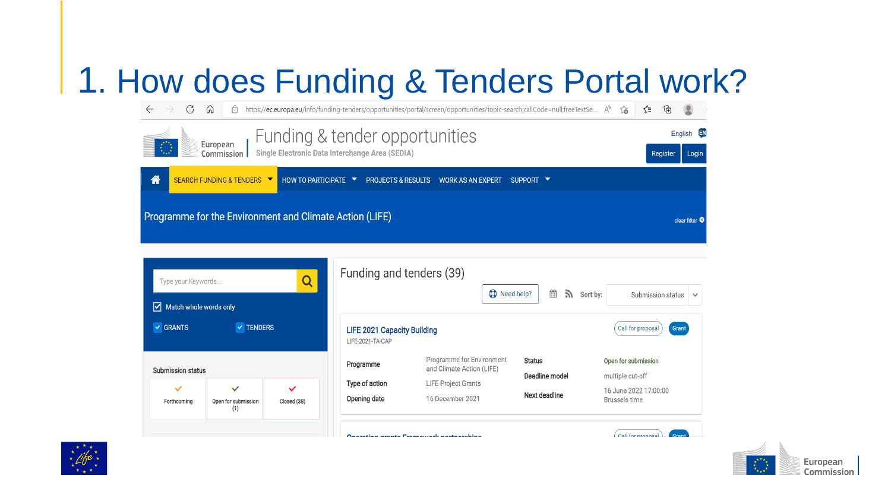#### . How does Funding & Tenders Portal work?

| C<br>$\leftarrow$                                                                                                  | ⋒<br>A                                                  |                    |                                                        | https://ec.europa.eu/info/funding-tenders/opportunities/portal/screen/opportunities/topic-search;callCode=null;freeTextSe A <sup>6</sup> |                                 | ど<br>⊕<br>$\sum_{i=1}^{n}$                    |
|--------------------------------------------------------------------------------------------------------------------|---------------------------------------------------------|--------------------|--------------------------------------------------------|------------------------------------------------------------------------------------------------------------------------------------------|---------------------------------|-----------------------------------------------|
| Funding & tender opportunities<br>European<br><b>Single Electronic Data Interchange Area (SEDIA)</b><br>Commission |                                                         |                    |                                                        |                                                                                                                                          |                                 | [EN]<br>English<br>Register<br>Login          |
| 俗                                                                                                                  | SEARCH FUNDING & TENDERS ▼                              | HOW TO PARTICIPATE | <b>PROJECTS &amp; RESULTS</b>                          | <b>WORK AS AN EXPERT</b>                                                                                                                 | SUPPORT V                       |                                               |
|                                                                                                                    | Programme for the Environment and Climate Action (LIFE) |                    |                                                        |                                                                                                                                          |                                 | clear filter <sup>®</sup>                     |
| Type your Keywords<br>Match whole words only<br>⊻                                                                  |                                                         | Q                  | Funding and tenders (39)                               | Need help?                                                                                                                               | 雦<br>A.                         | Sort by:<br>Submission status<br>$\checkmark$ |
| $\vee$ TENDERS<br>$\vee$ GRANTS                                                                                    |                                                         |                    | <b>LIFE 2021 Capacity Building</b><br>LIFE-2021-TA-CAP |                                                                                                                                          |                                 | Call for proposal<br>Grant                    |
| <b>Submission status</b>                                                                                           |                                                         |                    | Programme                                              | Programme for Environment<br>and Climate Action (LIFE)                                                                                   | <b>Status</b><br>Deadline model | Open for submission<br>multiple cut-off       |
| $\checkmark$                                                                                                       | $\checkmark$                                            | ✓                  | Type of action                                         | <b>LIFE Project Grants</b>                                                                                                               |                                 | 16 June 2022 17:00:00                         |
| Forthcoming                                                                                                        | Open for submission<br>(1)                              | Closed (38)        | Opening date                                           | 16 December 2021                                                                                                                         | Next deadline                   | <b>Brussels time</b>                          |
|                                                                                                                    |                                                         |                    |                                                        | Anazatina azanta Francauzariz nazinazahina                                                                                               |                                 | Call for proposal<br>Cron                     |



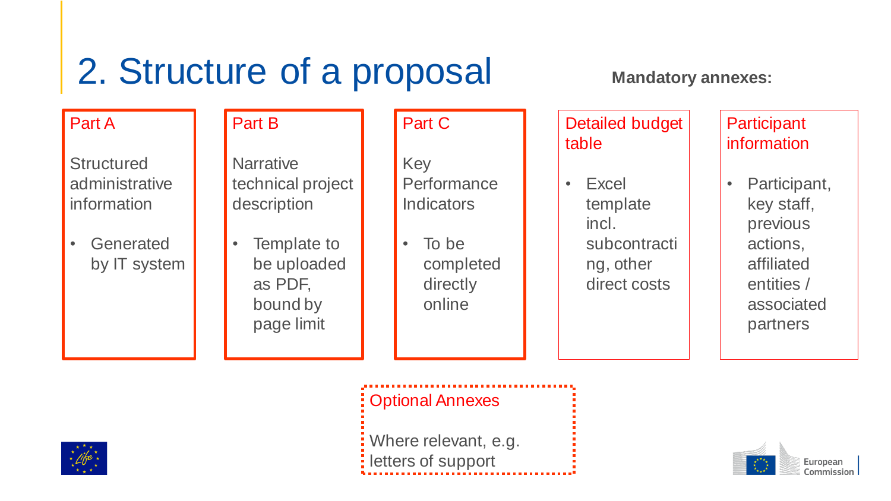# 2. Structure of a proposal

#### Part A

**Structured** administrative information

• Generated by IT system Part B

**Narrative** technical project description

• Template to be uploaded as PDF, bound by page limit

#### Part C

Key **Performance Indicators** 

• To be completed directly online

**Mandatory annexes:**

Detailed budget table

• Excel template incl. subcontracti ng, other direct costs

**Participant** information

• Participant, key staff, previous actions, affiliated entities / associated partners



Optional Annexes

Where relevant, e.g. letters of support

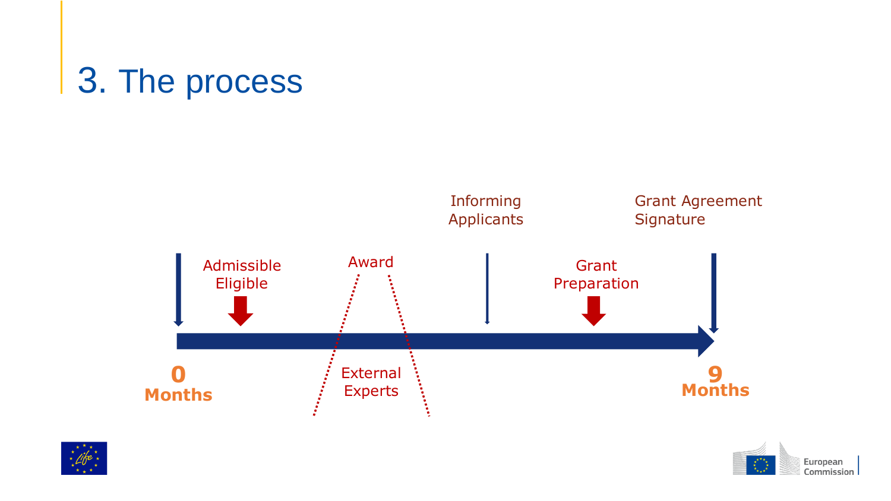# 3. The process





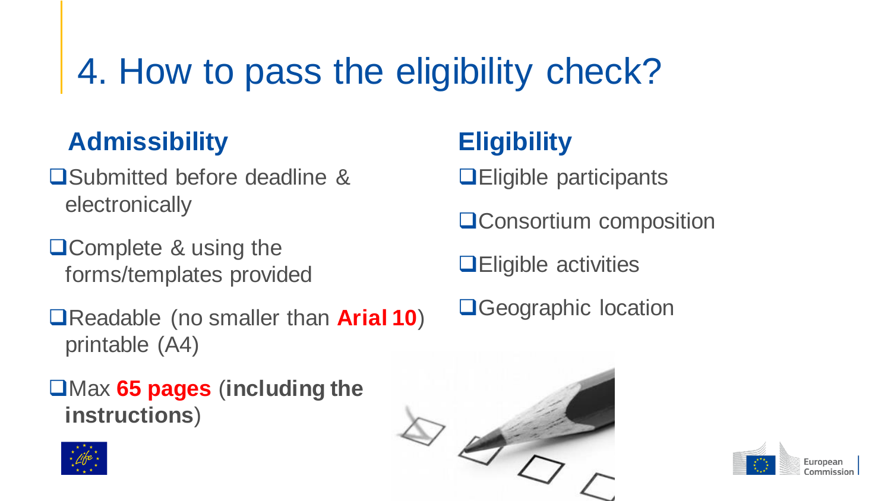# 4. How to pass the eligibility check?

#### **Admissibility**

- **□Submitted before deadline &** electronically
- **QComplete & using the** forms/templates provided
- Readable (no smaller than **Arial 10**) printable (A4)
- Max **65 pages** (**including the instructions**)



#### **Eligibility**

- **QEligible participants**
- **QConsortium composition**
- **QEligible activities**
- **O**Geographic location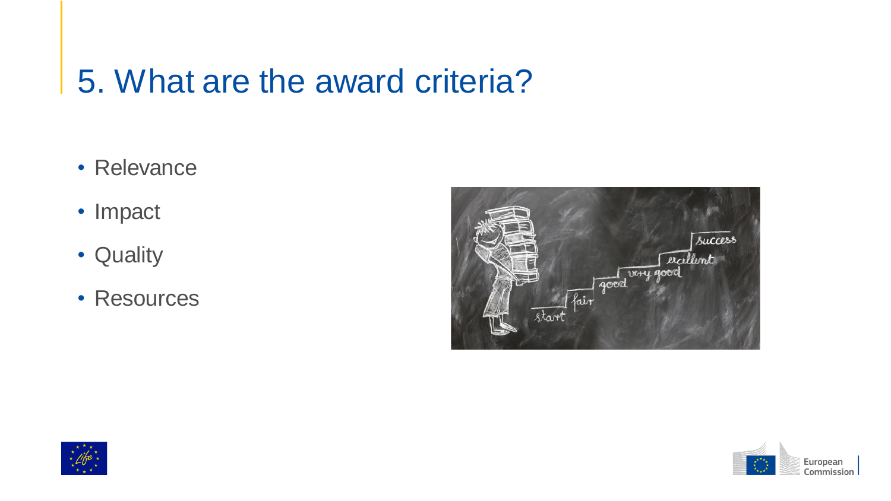#### 5. What are the award criteria?

- Relevance
- Impact
- Quality
- Resources





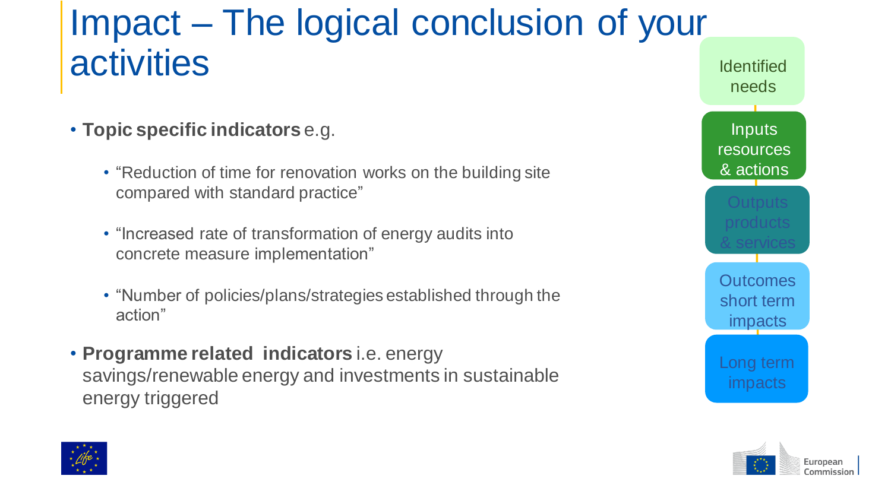### Impact – The logical conclusion of your activities **Internal Contraction**

- **Topic specific indicators** e.g.
	- "Reduction of time for renovation works on the building site compared with standard practice"
	- "Increased rate of transformation of energy audits into concrete measure implementation"
	- "Number of policies/plans/strategies established through the action"
- **Programme related indicators** i.e. energy savings/renewable energy and investments in sustainable energy triggered





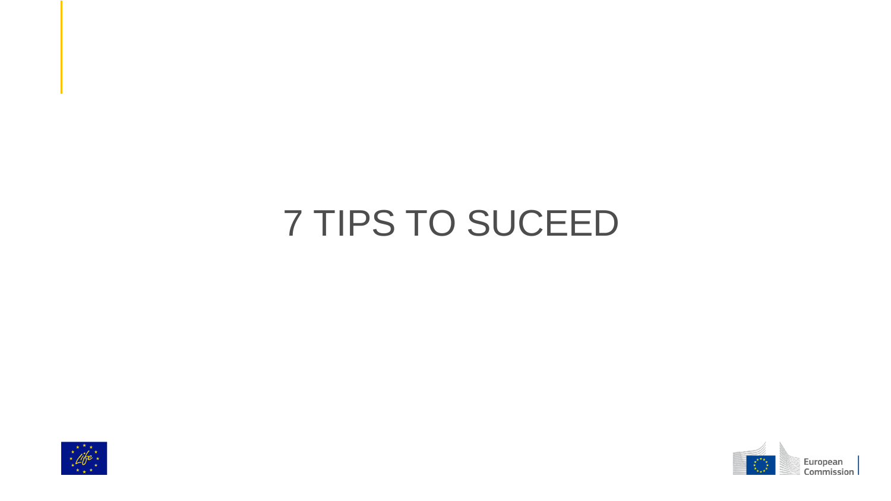# 7 TIPS TO SUCEED



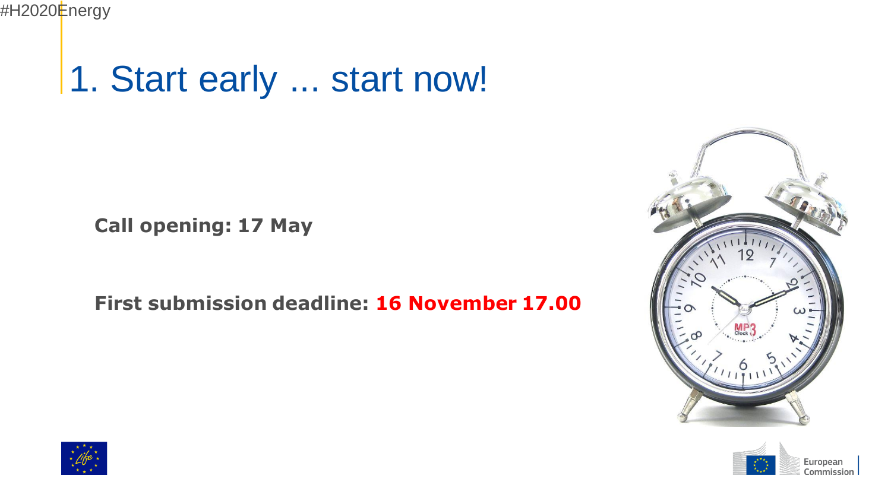# 1. Start early ... start now!

**Call opening: 17 May** 

**First submission deadline: 16 November 17.00**





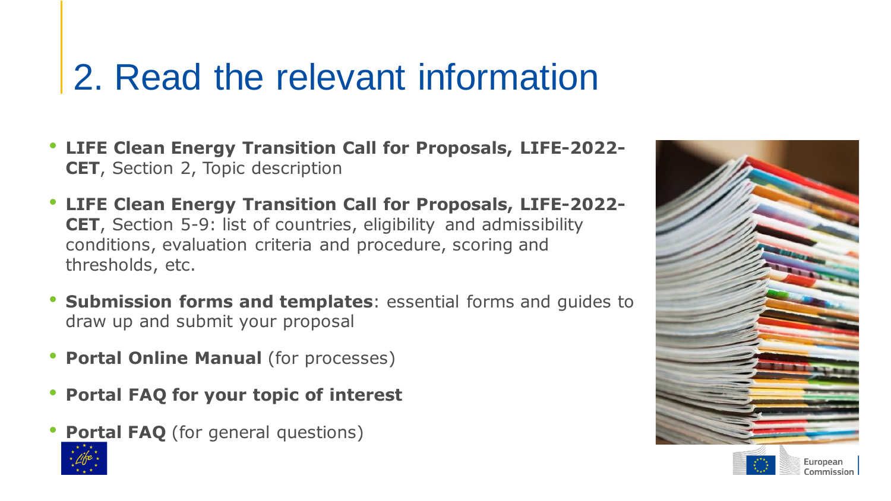## 2. Read the relevant information

- **LIFE Clean Energy Transition Call for Proposals, LIFE-2022- CET**, Section 2, Topic description
- **LIFE Clean Energy Transition Call for Proposals, LIFE-2022- CET**, Section 5-9: list of countries, eligibility and admissibility conditions, evaluation criteria and procedure, scoring and thresholds, etc.
- **Submission forms and templates**: essential forms and guides to draw up and submit your proposal
- **Portal Online Manual** (for processes)
- **Portal FAQ for your topic of interest**
- **Portal FAQ** (for general questions)



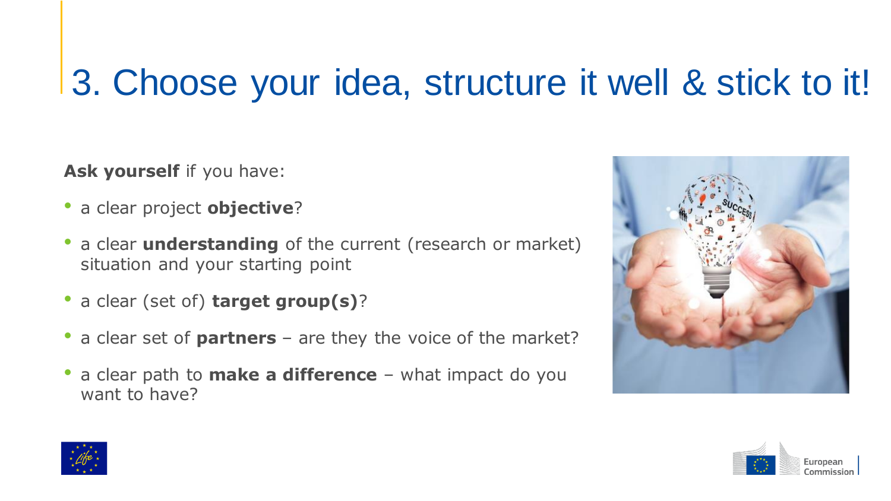# 3. Choose your idea, structure it well & stick to it!

Ask yourself if you have:

- a clear project **objective**?
- a clear **understanding** of the current (research or market) situation and your starting point
- a clear (set of) **target group(s)**?
- a clear set of **partners** are they the voice of the market?
- a clear path to **make a difference**  what impact do you want to have?





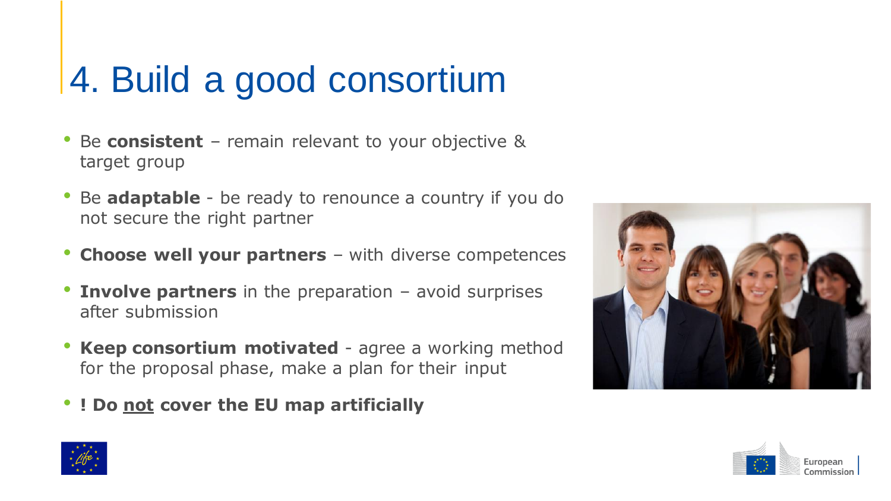# 4. Build a good consortium

- Be **consistent** remain relevant to your objective & target group
- Be **adaptable** be ready to renounce a country if you do not secure the right partner
- **Choose well your partners**  with diverse competences
- **Involve partners** in the preparation avoid surprises after submission
- **Keep consortium motivated** agree a working method for the proposal phase, make a plan for their input
- **! Do not cover the EU map artificially**





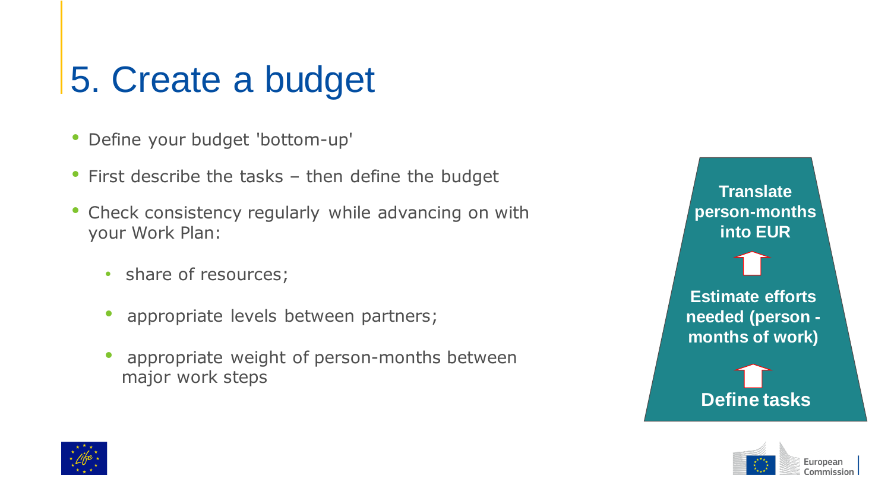# 5. Create a budget

- Define your budget 'bottom-up'
- First describe the tasks then define the budget
- Check consistency regularly while advancing on with your Work Plan:
	- share of resources;
	- appropriate levels between partners;
	- appropriate weight of person-months between major work steps





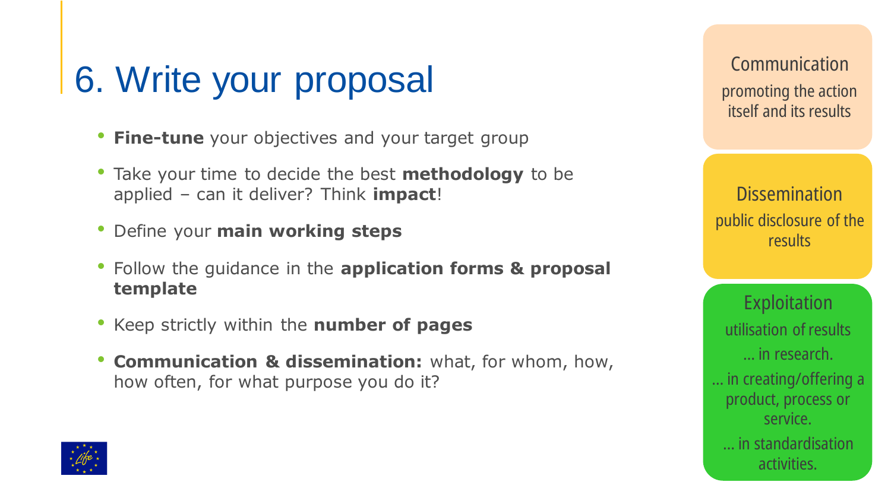# 6. Write your proposal

- **Fine-tune** your objectives and your target group
- Take your time to decide the best **methodology** to be applied – can it deliver? Think **impact**!
- Define your **main working steps**
- Follow the guidance in the **application forms & proposal template**
- Keep strictly within the **number of pages**
- **Communication & dissemination:** what, for whom, how, how often, for what purpose you do it?

**Communication** promoting the action itself and its results

**Dissemination** public disclosure of the results

**Exploitation** utilisation of results … in research. … in creating/offering a product, process or service. … in standardisation activities.

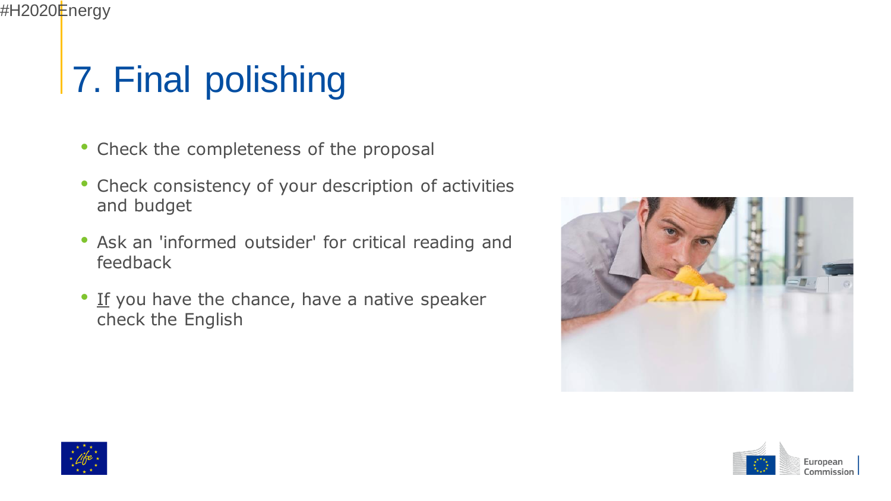

# 7. Final polishing

- Check the completeness of the proposal
- Check consistency of your description of activities and budget
- Ask an 'informed outsider' for critical reading and feedback
- If you have the chance, have a native speaker check the English





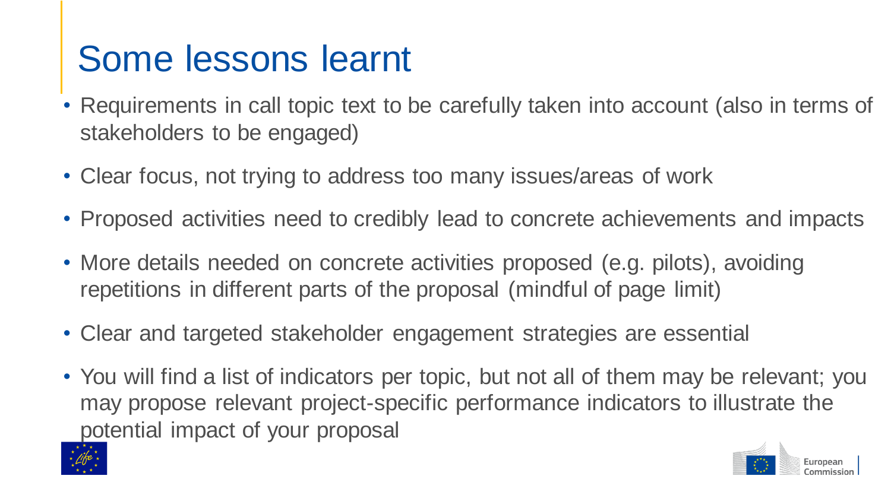## Some lessons learnt

- Requirements in call topic text to be carefully taken into account (also in terms of stakeholders to be engaged)
- Clear focus, not trying to address too many issues/areas of work
- Proposed activities need to credibly lead to concrete achievements and impacts
- More details needed on concrete activities proposed (e.g. pilots), avoiding repetitions in different parts of the proposal (mindful of page limit)
- Clear and targeted stakeholder engagement strategies are essential
- You will find a list of indicators per topic, but not all of them may be relevant; you may propose relevant project-specific performance indicators to illustrate the potential impact of your proposal